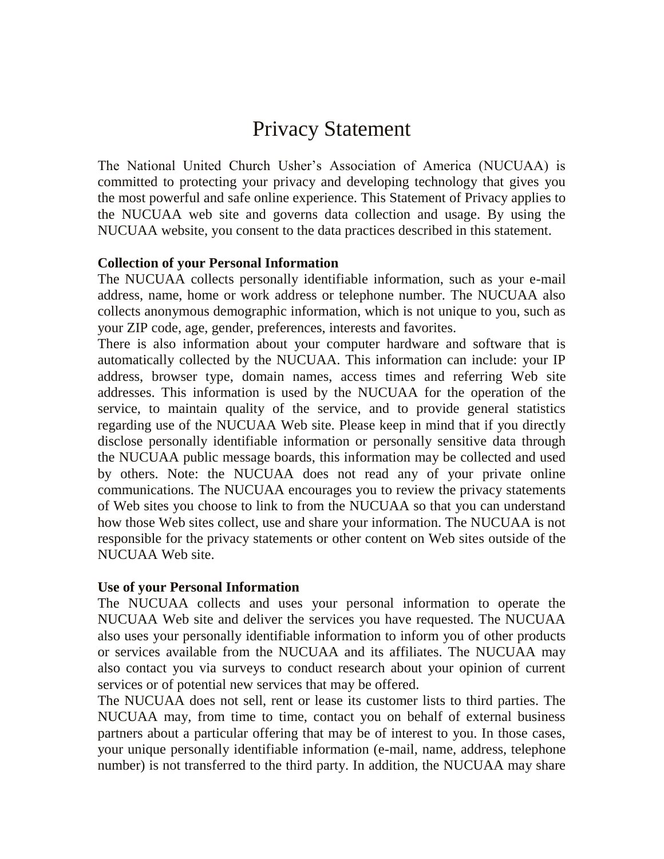# Privacy Statement

The National United Church Usher's Association of America (NUCUAA) is committed to protecting your privacy and developing technology that gives you the most powerful and safe online experience. This Statement of Privacy applies to the NUCUAA web site and governs data collection and usage. By using the NUCUAA website, you consent to the data practices described in this statement.

# **Collection of your Personal Information**

The NUCUAA collects personally identifiable information, such as your e-mail address, name, home or work address or telephone number. The NUCUAA also collects anonymous demographic information, which is not unique to you, such as your ZIP code, age, gender, preferences, interests and favorites.

There is also information about your computer hardware and software that is automatically collected by the NUCUAA. This information can include: your IP address, browser type, domain names, access times and referring Web site addresses. This information is used by the NUCUAA for the operation of the service, to maintain quality of the service, and to provide general statistics regarding use of the NUCUAA Web site. Please keep in mind that if you directly disclose personally identifiable information or personally sensitive data through the NUCUAA public message boards, this information may be collected and used by others. Note: the NUCUAA does not read any of your private online communications. The NUCUAA encourages you to review the privacy statements of Web sites you choose to link to from the NUCUAA so that you can understand how those Web sites collect, use and share your information. The NUCUAA is not responsible for the privacy statements or other content on Web sites outside of the NUCUAA Web site.

### **Use of your Personal Information**

The NUCUAA collects and uses your personal information to operate the NUCUAA Web site and deliver the services you have requested. The NUCUAA also uses your personally identifiable information to inform you of other products or services available from the NUCUAA and its affiliates. The NUCUAA may also contact you via surveys to conduct research about your opinion of current services or of potential new services that may be offered.

The NUCUAA does not sell, rent or lease its customer lists to third parties. The NUCUAA may, from time to time, contact you on behalf of external business partners about a particular offering that may be of interest to you. In those cases, your unique personally identifiable information (e-mail, name, address, telephone number) is not transferred to the third party. In addition, the NUCUAA may share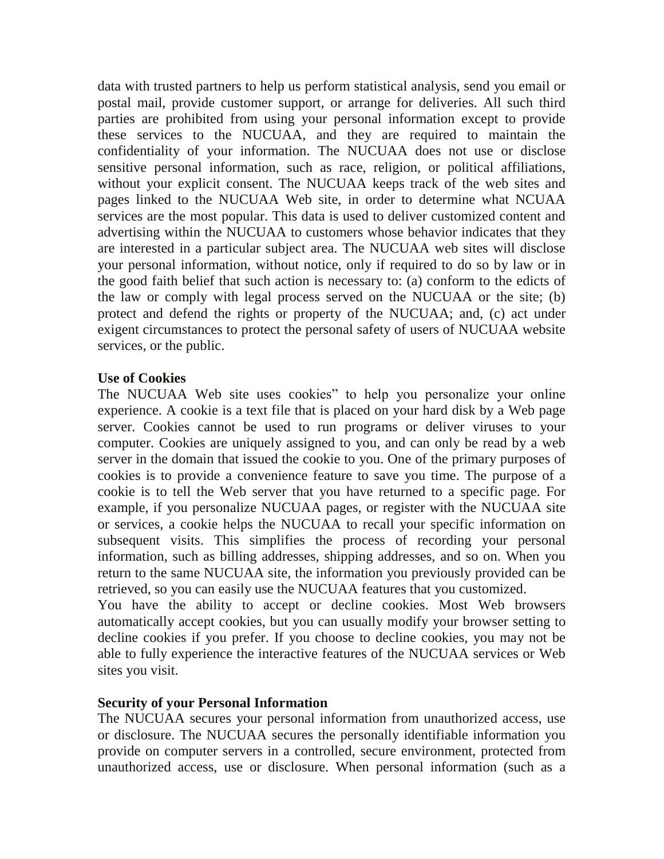data with trusted partners to help us perform statistical analysis, send you email or postal mail, provide customer support, or arrange for deliveries. All such third parties are prohibited from using your personal information except to provide these services to the NUCUAA, and they are required to maintain the confidentiality of your information. The NUCUAA does not use or disclose sensitive personal information, such as race, religion, or political affiliations, without your explicit consent. The NUCUAA keeps track of the web sites and pages linked to the NUCUAA Web site, in order to determine what NCUAA services are the most popular. This data is used to deliver customized content and advertising within the NUCUAA to customers whose behavior indicates that they are interested in a particular subject area. The NUCUAA web sites will disclose your personal information, without notice, only if required to do so by law or in the good faith belief that such action is necessary to: (a) conform to the edicts of the law or comply with legal process served on the NUCUAA or the site; (b) protect and defend the rights or property of the NUCUAA; and, (c) act under exigent circumstances to protect the personal safety of users of NUCUAA website services, or the public.

### **Use of Cookies**

The NUCUAA Web site uses cookies" to help you personalize your online experience. A cookie is a text file that is placed on your hard disk by a Web page server. Cookies cannot be used to run programs or deliver viruses to your computer. Cookies are uniquely assigned to you, and can only be read by a web server in the domain that issued the cookie to you. One of the primary purposes of cookies is to provide a convenience feature to save you time. The purpose of a cookie is to tell the Web server that you have returned to a specific page. For example, if you personalize NUCUAA pages, or register with the NUCUAA site or services, a cookie helps the NUCUAA to recall your specific information on subsequent visits. This simplifies the process of recording your personal information, such as billing addresses, shipping addresses, and so on. When you return to the same NUCUAA site, the information you previously provided can be retrieved, so you can easily use the NUCUAA features that you customized.

You have the ability to accept or decline cookies. Most Web browsers automatically accept cookies, but you can usually modify your browser setting to decline cookies if you prefer. If you choose to decline cookies, you may not be able to fully experience the interactive features of the NUCUAA services or Web sites you visit.

### **Security of your Personal Information**

The NUCUAA secures your personal information from unauthorized access, use or disclosure. The NUCUAA secures the personally identifiable information you provide on computer servers in a controlled, secure environment, protected from unauthorized access, use or disclosure. When personal information (such as a